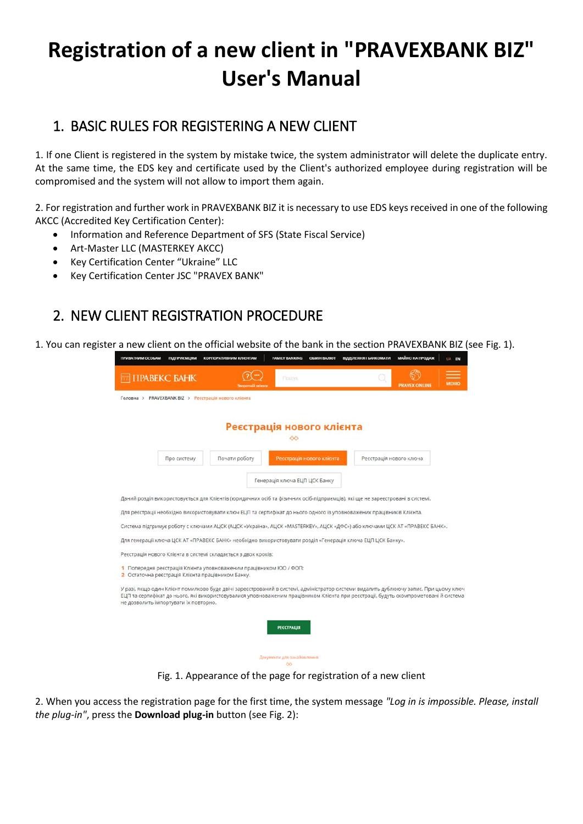# **Registration of a new client in "PRAVEXBANK BIZ" User's Manual**

## 1. BASIC RULES FOR REGISTERING A NEW CLIENT

1. If one Client is registered in the system by mistake twice, the system administrator will delete the duplicate entry. At the same time, the EDS key and certificate used by the Client's authorized employee during registration will be compromised and the system will not allow to import them again.

2. For registration and further work in PRAVEXBANK BIZ it is necessary to use EDS keys received in one of the following AKCC (Accredited Key Certification Center):

- Information and Reference Department of SFS (State Fiscal Service)
- Art-Master LLC (MASTERKEY AKCC)
- Key Certification Center "Ukraine" LLC
- Key Certification Center JSC "PRAVEX BANK"

# 2. NEW CLIENT REGISTRATION PROCEDURE

1. You can register a new client on the official website of the bank in the section PRAVEXBANK BIZ (see Fig. 1).

| ПРИВАТНИМ ОСОБАМ | <b>ПІДПРИЄМЦЯМ</b>                                | <b>КОРПОРАТИВНИМ КЛІЄНТАМ</b>                                                                                                                                                                                                                                                 | <b>FAMILY BANKING</b>                | <b>OGMIH BAЛЮT</b>        | ВІДДІЛЕННЯ І БАНКОМАТИ  | МАЙНО НА ПРОДАЖ      | UA EN        |
|------------------|---------------------------------------------------|-------------------------------------------------------------------------------------------------------------------------------------------------------------------------------------------------------------------------------------------------------------------------------|--------------------------------------|---------------------------|-------------------------|----------------------|--------------|
|                  | <b>TIPABEKC GAHK</b>                              |                                                                                                                                                                                                                                                                               | <b><i><u>TIOLITYK</u></i></b>        |                           |                         | <b>PRAVEX ONLINE</b> | <b>MEHIO</b> |
| Головна >        | PRAVEXBANK BIZ > Реєстрація нового клієнта        |                                                                                                                                                                                                                                                                               |                                      |                           |                         |                      |              |
|                  |                                                   |                                                                                                                                                                                                                                                                               |                                      |                           |                         |                      |              |
|                  |                                                   | Реєстрація нового клієнта                                                                                                                                                                                                                                                     |                                      |                           |                         |                      |              |
|                  |                                                   |                                                                                                                                                                                                                                                                               | $\infty$                             |                           |                         |                      |              |
|                  |                                                   |                                                                                                                                                                                                                                                                               |                                      |                           |                         |                      |              |
|                  | Про систему                                       | Почати роботу                                                                                                                                                                                                                                                                 |                                      | Ресстрація нового клієнта | Реєстрація нового ключа |                      |              |
|                  |                                                   |                                                                                                                                                                                                                                                                               | Генерація ключа ЕЦП ЦСК Банку        |                           |                         |                      |              |
|                  |                                                   |                                                                                                                                                                                                                                                                               |                                      |                           |                         |                      |              |
|                  |                                                   | Даний розділ використовується для Клієнтів (юридичних осіб та фізичних осіб-підприємців), які ще не зареєстровані в системі.                                                                                                                                                  |                                      |                           |                         |                      |              |
|                  |                                                   | Для реєстрації необхідно використовувати ключ ЕЦП та сертифікат до нього одного із уповноважених працівників Клієнта.                                                                                                                                                         |                                      |                           |                         |                      |              |
|                  |                                                   | Система підтримує роботу с ключами АЦСК (AЦСК «Україна», АЦСК «MASTERKEY», АЦСК «ДФС») або ключами ЦСК АТ «ПРАВЕКС БАНК».                                                                                                                                                     |                                      |                           |                         |                      |              |
|                  |                                                   | Для генерації ключа ЦСК АТ «ПРАВЕКС БАНК» необхідно використовувати розділ «Генерація ключа ЕЦП ЦСК Банку».                                                                                                                                                                   |                                      |                           |                         |                      |              |
|                  |                                                   | Реєстрація нового Клієнта в системі складається з двох кроків:                                                                                                                                                                                                                |                                      |                           |                         |                      |              |
|                  |                                                   | 1 Попередня реєстрація Клієнта уповноваженим працівником ЮО / ФОП:                                                                                                                                                                                                            |                                      |                           |                         |                      |              |
|                  | 2 Остаточна реєстрація Клієнта працівником Банку. |                                                                                                                                                                                                                                                                               |                                      |                           |                         |                      |              |
|                  | не дозволить імпортувати їх повторно.             | У разі, якщо один Клієнт помилково буде двічі зареєстрований в системі, адміністратор системи видалить дублюючу запис. При цьому ключ<br>ЕЦП та сертифікат до нього, які використовувалися уповноваженим працівником Клієнта при реєстрації, будуть скомпрометовані й система |                                      |                           |                         |                      |              |
|                  |                                                   |                                                                                                                                                                                                                                                                               |                                      |                           |                         |                      |              |
|                  |                                                   |                                                                                                                                                                                                                                                                               | <b>РЕЄСТРАЦІЯ</b>                    |                           |                         |                      |              |
|                  |                                                   |                                                                                                                                                                                                                                                                               |                                      |                           |                         |                      |              |
|                  |                                                   |                                                                                                                                                                                                                                                                               |                                      |                           |                         |                      |              |
|                  |                                                   |                                                                                                                                                                                                                                                                               | Документи для ознайомлення<br>$\sim$ |                           |                         |                      |              |

Fig. 1. Appearance of the page for registration of a new client

2. When you access the registration page for the first time, the system message *"Log in is impossible. Please, install the plug-in"*, press the **Download plug-in** button (see Fig. 2):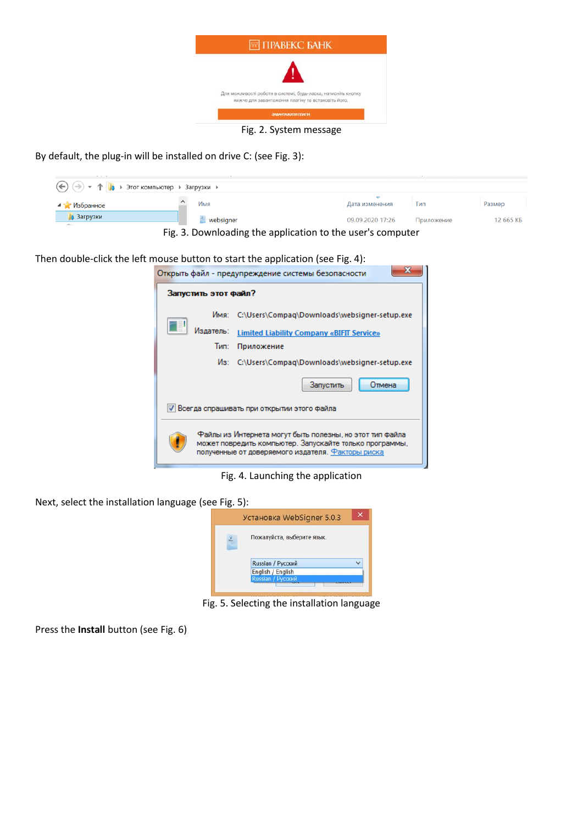

Fig. 2. System message

By default, the plug-in will be installed on drive C: (see Fig. 3):

| $\left(\bigoplus\right)$ → $\uparrow$ $\uparrow$ $\downarrow$ → Этот компьютер → Загрузки →                                      |           |                  |            |           |  |  |  |
|----------------------------------------------------------------------------------------------------------------------------------|-----------|------------------|------------|-----------|--|--|--|
| ⊿ У Избранное                                                                                                                    | Имя       | Дата изменения   | Iип        | Размер    |  |  |  |
| <b>В</b> Загрузки<br>$\label{eq:1} \mathcal{L}(\mathcal{C}(\mathcal{C}^{\mathcal{C}})) = \mathcal{L}(\mathcal{C}^{\mathcal{C}})$ | websigner | 09.09.2020 17:26 | Приложение | 12 665 KB |  |  |  |
| Fig. 3. Downloading the application to the user's computer                                                                       |           |                  |            |           |  |  |  |

Then double-click the left mouse button to start the application (see Fig. 4):

|                                              |                                                                                                                                                                          | Открыть файл - предупреждение системы безопасности |  |  |  |
|----------------------------------------------|--------------------------------------------------------------------------------------------------------------------------------------------------------------------------|----------------------------------------------------|--|--|--|
| Запустить этот файл?                         |                                                                                                                                                                          |                                                    |  |  |  |
|                                              | Имя:                                                                                                                                                                     | C:\Users\Compaq\Downloads\websigner-setup.exe      |  |  |  |
|                                              | Издатель:                                                                                                                                                                | <b>Limited Liability Company «BIFIT Service»</b>   |  |  |  |
|                                              | Тип:                                                                                                                                                                     | Приложение                                         |  |  |  |
|                                              |                                                                                                                                                                          | Ms: C:\Users\Compaq\Downloads\websigner-setup.exe  |  |  |  |
|                                              |                                                                                                                                                                          | Запустить<br>Отмена                                |  |  |  |
| V Всегда спрашивать при открытии этого файла |                                                                                                                                                                          |                                                    |  |  |  |
|                                              | Файлы из Интернета могут быть полезны, но этот тип файла<br>может повредить компьютер. Запускайте только программы,<br>полученные от доверяемого издателя. Факторы риска |                                                    |  |  |  |

Fig. 4. Launching the application

Next, select the installation language (see Fig. 5):



Fig. 5. Selecting the installation language

Press the **Install** button (see Fig. 6)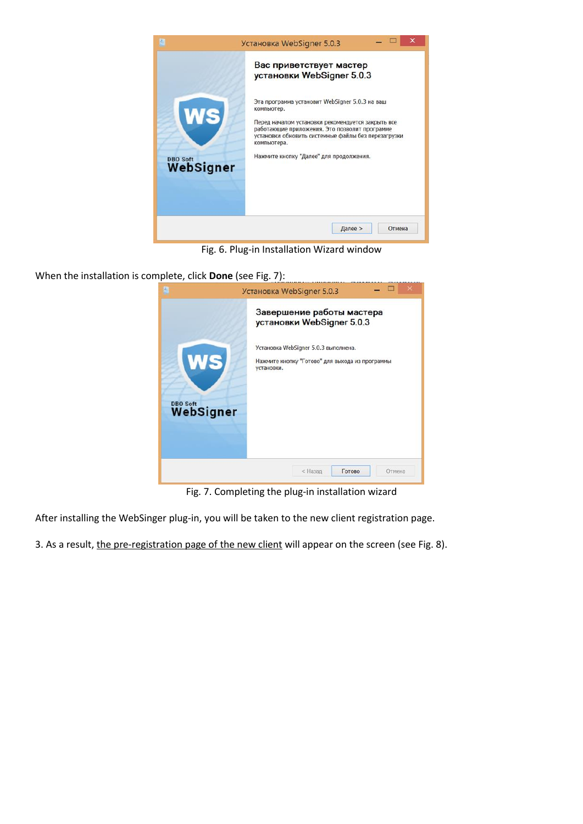

Fig. 6. Plug-in Installation Wizard window

When the installation is complete, click **Done** (see Fig. 7):



Fig. 7. Completing the plug-in installation wizard

After installing the WebSinger plug-in, you will be taken to the new client registration page.

3. As a result, the pre-registration page of the new client will appear on the screen (see Fig. 8).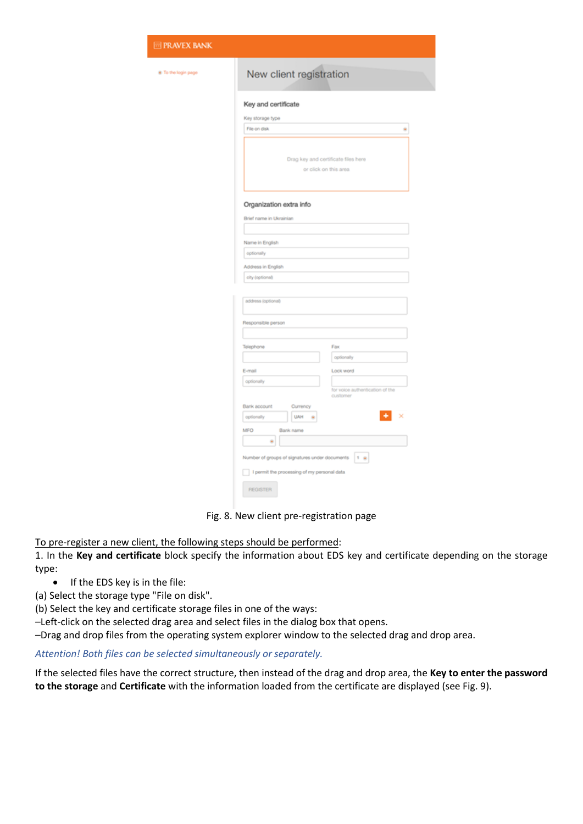| @ To the login page | New client registration                                      |  |  |  |  |  |
|---------------------|--------------------------------------------------------------|--|--|--|--|--|
|                     | Key and certificate                                          |  |  |  |  |  |
|                     | Key storage type                                             |  |  |  |  |  |
|                     | File on disk<br>٠                                            |  |  |  |  |  |
|                     | Drag key and certificate files here<br>or click on this area |  |  |  |  |  |
|                     | Organization extra info                                      |  |  |  |  |  |
|                     | Brief name in Ukrainian                                      |  |  |  |  |  |
|                     |                                                              |  |  |  |  |  |
|                     | Name in English                                              |  |  |  |  |  |
|                     | optionally                                                   |  |  |  |  |  |
|                     | Address in English                                           |  |  |  |  |  |
|                     | city (optional)                                              |  |  |  |  |  |
|                     | address (optional)                                           |  |  |  |  |  |
|                     | Responsible person                                           |  |  |  |  |  |
|                     |                                                              |  |  |  |  |  |
|                     | Telephone<br>Fax                                             |  |  |  |  |  |
|                     | optionally                                                   |  |  |  |  |  |
|                     | Lock word<br>E-mail                                          |  |  |  |  |  |
|                     | optionally<br>for voice authentication of the<br>customer    |  |  |  |  |  |
|                     | Bank account<br>Currency                                     |  |  |  |  |  |
|                     | <b>UAH</b><br>optionally<br>٠                                |  |  |  |  |  |
|                     | MFO<br>Bank name<br>٠                                        |  |  |  |  |  |
|                     | Number of groups of signatures under documents<br>$1 - n$    |  |  |  |  |  |

Fig. 8. New client pre-registration page

To pre-register a new client, the following steps should be performed:

**E** PR

1. In the **Key and certificate** block specify the information about EDS key and certificate depending on the storage type:

• If the EDS key is in the file:

(a) Select the storage type "File on disk".

(b) Select the key and certificate storage files in one of the ways:

–Left-click on the selected drag area and select files in the dialog box that opens.

–Drag and drop files from the operating system explorer window to the selected drag and drop area.

#### *Attention! Both files can be selected simultaneously or separately.*

If the selected files have the correct structure, then instead of the drag and drop area, the **Key to enter the password to the storage** and **Certificate** with the information loaded from the certificate are displayed (see Fig. 9).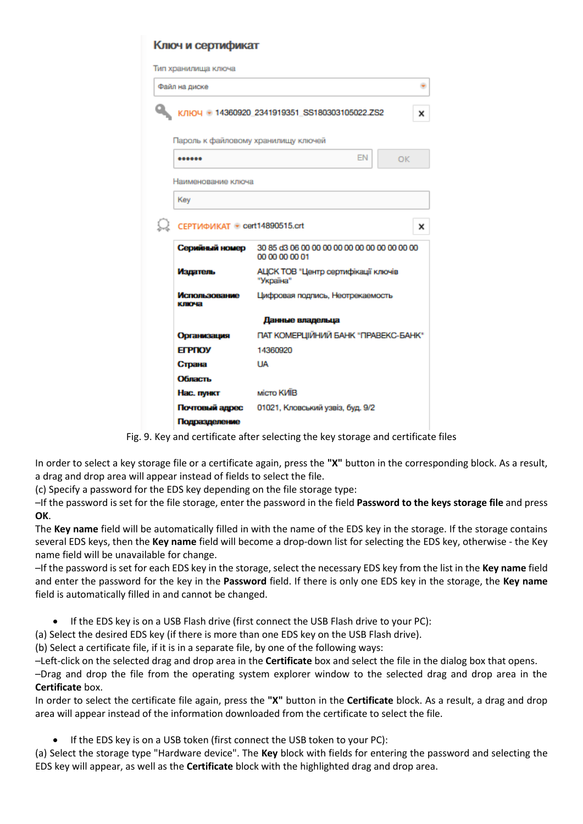| <b>&lt;люч и сертификат</b>         |                                                                   |   |  |  |  |
|-------------------------------------|-------------------------------------------------------------------|---|--|--|--|
| ип хранилища ключа                  |                                                                   |   |  |  |  |
| Файл на диске                       |                                                                   |   |  |  |  |
|                                     | K/IHO4 + 14360920 2341919351 SS180303105022.ZS2                   | × |  |  |  |
| Пароль к файловому хранилищу ключей |                                                                   |   |  |  |  |
|                                     | EN<br>OK                                                          |   |  |  |  |
| Наименование ключа                  |                                                                   |   |  |  |  |
| Key                                 |                                                                   |   |  |  |  |
| СЕРТИФИКАТ · cert14890515.crt       |                                                                   |   |  |  |  |
| Серийный номер                      | 30 85 d3 06 00 00 00 00 00 00 00 00 00 00 00 00<br>00 00 00 00 01 |   |  |  |  |
| Издатель                            | АЦСК ТОВ "Центр сертифікації ключів<br>"Україна"                  |   |  |  |  |
| Использование<br>ключа              | Цифровая подпись, Неотрекаемость                                  |   |  |  |  |
|                                     | Данные владельца                                                  |   |  |  |  |
| Организация                         | ПАТ КОМЕРЦІЙНИЙ БАНК "ПРАВЕКС-БАНК"                               |   |  |  |  |
| <b>ELBUON</b>                       | 14360920                                                          |   |  |  |  |
| Страна                              | LIA.                                                              |   |  |  |  |
| Область                             |                                                                   |   |  |  |  |
| Нас. пункт                          | місто КИЇВ                                                        |   |  |  |  |
| Почтовый адрес                      | 01021, Кловський узвіз, буд. 9/2                                  |   |  |  |  |
| Подразделение                       |                                                                   |   |  |  |  |

Fig. 9. Key and certificate after selecting the key storage and certificate files

In order to select a key storage file or a certificate again, press the **"X"** button in the corresponding block. As a result, a drag and drop area will appear instead of fields to select the file.

(c) Specify a password for the EDS key depending on the file storage type:

–If the password is set for the file storage, enter the password in the field **Password to the keys storage file** and press **OK**.

The **Key name** field will be automatically filled in with the name of the EDS key in the storage. If the storage contains several EDS keys, then the **Key name** field will become a drop-down list for selecting the EDS key, otherwise - the Key name field will be unavailable for change.

–If the password is set for each EDS key in the storage, select the necessary EDS key from the list in the **Key name** field and enter the password for the key in the **Password** field. If there is only one EDS key in the storage, the **Key name** field is automatically filled in and cannot be changed.

If the EDS key is on a USB Flash drive (first connect the USB Flash drive to your PC):

(a) Select the desired EDS key (if there is more than one EDS key on the USB Flash drive).

(b) Select a certificate file, if it is in a separate file, by one of the following ways:

–Left-click on the selected drag and drop area in the **Certificate** box and select the file in the dialog box that opens.

–Drag and drop the file from the operating system explorer window to the selected drag and drop area in the **Certificate** box.

In order to select the certificate file again, press the **"X"** button in the **Certificate** block. As a result, a drag and drop area will appear instead of the information downloaded from the certificate to select the file.

If the EDS key is on a USB token (first connect the USB token to your PC):

(a) Select the storage type "Hardware device". The **Key** block with fields for entering the password and selecting the EDS key will appear, as well as the **Certificate** block with the highlighted drag and drop area.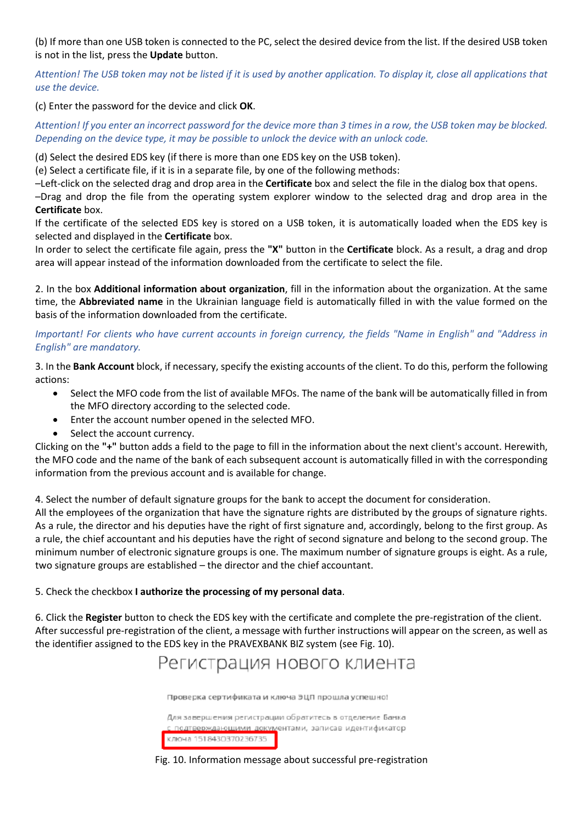(b) If more than one USB token is connected to the PC, select the desired device from the list. If the desired USB token is not in the list, press the **Update** button.

*Attention! The USB token may not be listed if it is used by another application. To display it, close all applications that use the device.*

(c) Enter the password for the device and click **OK**.

*Attention! If you enter an incorrect password for the device more than 3 times in a row, the USB token may be blocked. Depending on the device type, it may be possible to unlock the device with an unlock code.*

(d) Select the desired EDS key (if there is more than one EDS key on the USB token).

(e) Select a certificate file, if it is in a separate file, by one of the following methods:

–Left-click on the selected drag and drop area in the **Certificate** box and select the file in the dialog box that opens.

–Drag and drop the file from the operating system explorer window to the selected drag and drop area in the **Certificate** box.

If the certificate of the selected EDS key is stored on a USB token, it is automatically loaded when the EDS key is selected and displayed in the **Certificate** box.

In order to select the certificate file again, press the **"X"** button in the **Certificate** block. As a result, a drag and drop area will appear instead of the information downloaded from the certificate to select the file.

2. In the box **Additional information about organization**, fill in the information about the organization. At the same time, the **Abbreviated name** in the Ukrainian language field is automatically filled in with the value formed on the basis of the information downloaded from the certificate.

## *Important! For clients who have current accounts in foreign currency, the fields "Name in English" and "Address in English" are mandatory.*

3. In the **Bank Account** block, if necessary, specify the existing accounts of the client. To do this, perform the following actions:

- Select the MFO code from the list of available MFOs. The name of the bank will be automatically filled in from the MFO directory according to the selected code.
- Enter the account number opened in the selected MFO.
- Select the account currency.

Clicking on the **"+"** button adds a field to the page to fill in the information about the next client's account. Herewith, the MFO code and the name of the bank of each subsequent account is automatically filled in with the corresponding information from the previous account and is available for change.

4. Select the number of default signature groups for the bank to accept the document for consideration.

All the employees of the organization that have the signature rights are distributed by the groups of signature rights. As a rule, the director and his deputies have the right of first signature and, accordingly, belong to the first group. As a rule, the chief accountant and his deputies have the right of second signature and belong to the second group. The minimum number of electronic signature groups is one. The maximum number of signature groups is eight. As a rule, two signature groups are established – the director and the chief accountant.

### 5. Check the checkbox **I authorize the processing of my personal data**.

6. Click the **Register** button to check the EDS key with the certificate and complete the pre-registration of the client. After successful pre-registration of the client, a message with further instructions will appear on the screen, as well as the identifier assigned to the EDS key in the PRAVEXBANK BIZ system (see Fig. 10).



Проверка сертификата и ключа ЭЦП прошла успешно!

Для завершения регистрации обратитесь в отделение Банка подтвержданощими документами, записав идентификатор ключа 1518430370236735

#### Fig. 10. Information message about successful pre-registration